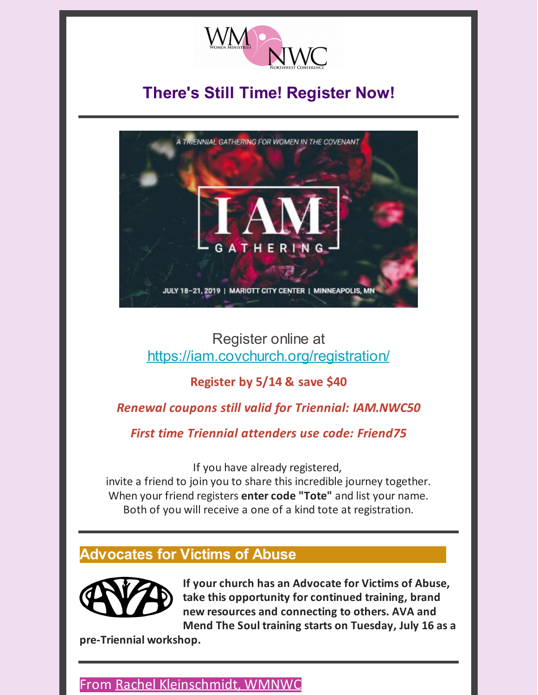

# **There's Still Time! Register Now!**



# Register online at <https://iam.covchurch.org/registration/>

# **Register by 5/14 & save \$40**

### *Renewal coupons still valid for Triennial: IAM.NWC50*

*First time Triennial attenders use code: Friend75*

If you have already registered,

invite a friend to join you to share this incredible journey together. When your friend registers **enter code "Tote"** and list your name. Both of you will receive a one of a kind tote at registration.

# **Advocates for Victims of Abuse**



**If your church has an Advocate for Victims of Abuse, take this opportunity for continued training, brand new resources and connecting to others. AVA and Mend The Soul training starts on Tuesday, July 16 as a**

**pre-Triennial workshop.**

### From Rachel [Kleinschmidt,](mailto:rachel@wmnwc.org) WMNWC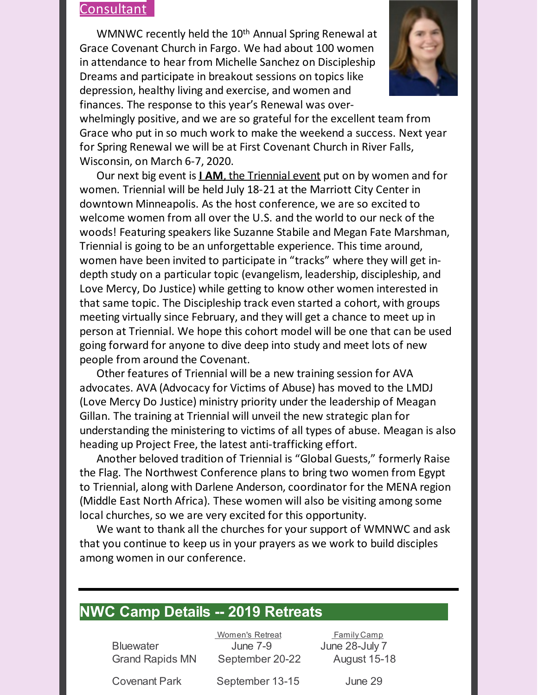#### **Consultant**

WMNWC recently held the 10<sup>th</sup> Annual Spring Renewal at Grace Covenant Church in Fargo. We had about 100 women in attendance to hear from Michelle Sanchez on Discipleship Dreams and participate in breakout sessions on topics like depression, healthy living and exercise, and women and finances. The response to this year's Renewal was over-



whelmingly positive, and we are so grateful for the excellent team from Grace who put in so much work to make the weekend a success. Next year for Spring Renewal we will be at First Covenant Church in River Falls, Wisconsin, on March 6-7, 2020.

Our next big event is **I [AM](https://iam.covchurch.org/)**, the [Triennial](https://iam.covchurch.org/) event put on by women and for women. Triennial will be held July 18-21 at the Marriott City Center in downtown Minneapolis. As the host conference, we are so excited to welcome women from all over the U.S. and the world to our neck of the woods! Featuring speakers like Suzanne Stabile and Megan Fate Marshman, Triennial is going to be an unforgettable experience. This time around, women have been invited to participate in "tracks" where they will get indepth study on a particular topic (evangelism, leadership, discipleship, and Love Mercy, Do Justice) while getting to know other women interested in that same topic. The Discipleship track even started a cohort, with groups meeting virtually since February, and they will get a chance to meet up in person at Triennial. We hope this cohort model will be one that can be used going forward for anyone to dive deep into study and meet lots of new people from around the Covenant.

Other features of Triennial will be a new training session for AVA advocates. AVA (Advocacy for Victims of Abuse) has moved to the LMDJ (Love Mercy Do Justice) ministry priority under the leadership of Meagan Gillan. The training at Triennial will unveil the new strategic plan for understanding the ministering to victims of all types of abuse. Meagan is also heading up Project Free, the latest anti-trafficking effort.

Another beloved tradition of Triennial is "Global Guests," formerly Raise the Flag. The Northwest Conference plans to bring two women from Egypt to Triennial, along with Darlene Anderson, coordinator for the MENA region (Middle East North Africa). These women will also be visiting among some local churches, so we are very excited for this opportunity.

We want to thank all the churches for your support of WMNWC and ask that you continue to keep us in your prayers as we work to build disciples among women in our conference.

### **NWC Camp Details -- 2019 Retreats...**

Women's Retreat **Family Camp** ............Bluewater...........................June 7-9..................June 28-July 7 ............Grand Rapids MN........September 20-22............August 15-18

............Covenant Park.............September 13-15.................June 29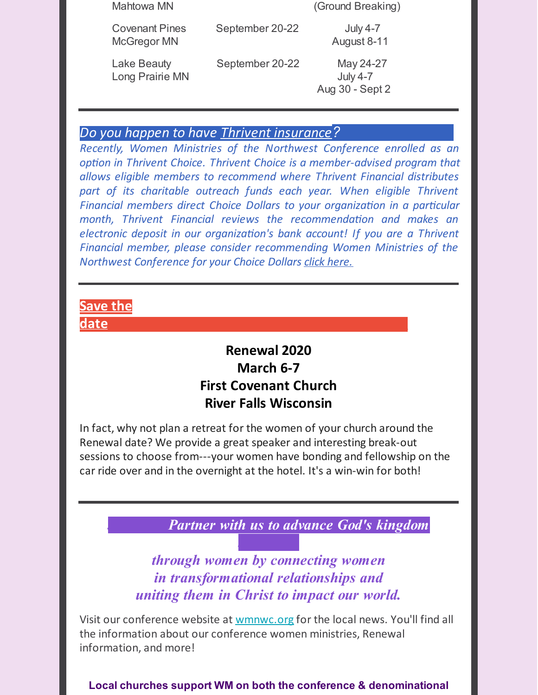| Mahtowa MN                           |                 | (Ground Breaking)                               |
|--------------------------------------|-----------------|-------------------------------------------------|
| <b>Covenant Pines</b><br>McGregor MN | September 20-22 | <b>July 4-7</b><br>August 8-11                  |
| Lake Beauty<br>Long Prairie MN       | September 20-22 | May 24-27<br><b>July 4-7</b><br>Aug 30 - Sept 2 |

#### *Do you happen to have Thrivent [insurance](https://service.thrivent.com/apps/ThriventChoiceMemberWeb/public/orgDetails/100614299189)?............................*

*Recently, Women Ministries of the Northwest Conference enrolled as an option in Thrivent Choice. Thrivent Choice is a member-advised program that allows eligible members to recommend where Thrivent Financial distributes part of its charitable outreach funds each year. When eligible Thrivent Financial members direct Choice Dollars to your organization in a particular month, Thrivent Financial reviews the recommendation and makes an electronic deposit in our organization's bank account! If you are a Thrivent Financial member, please consider recommending Women Ministries of the Northwest Conference for your Choice Dollars click [here.](https://service.thrivent.com/apps/ThriventChoiceMemberWeb/public/orgDetails/100614299189)*

# **Save the date:.........................................................................**

# **Renewal 2020 March 6-7 First Covenant Church River Falls Wisconsin**

In fact, why not plan a retreat for the women of your church around the Renewal date? We provide a great speaker and interesting break-out sessions to choose from---your women have bonding and fellowship on the car ride over and in the overnight at the hotel. It's a win-win for both!

*...............Partner with us to advance God's kingdom*

*through women by connecting women in transformational relationships and uniting them in Christ to impact our world.*

*...............*

Visit our conference website at [wmnwc.org](https://wmnwc.org) for the local news. You'll find all the information about our conference women ministries, Renewal information, and more!

**Local churches support WM on both the conference & denominational**